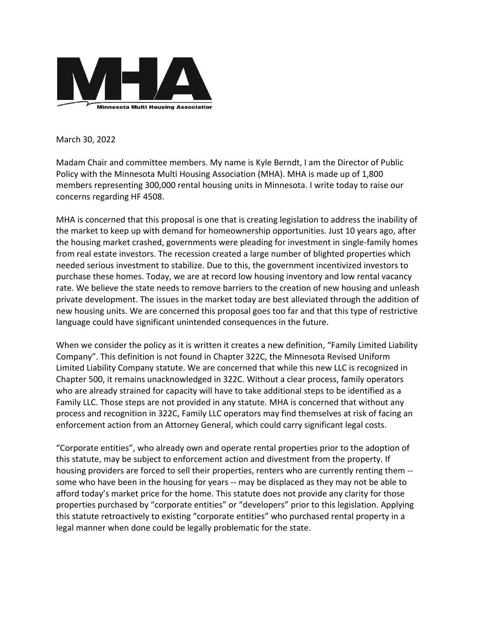

March 30, 2022

Madam Chair and committee members. My name is Kyle Berndt, I am the Director of Public Policy with the Minnesota Multi Housing Association (MHA). MHA is made up of 1,800 members representing 300,000 rental housing units in Minnesota. I write today to raise our concerns regarding HF 4508.

MHA is concerned that this proposal is one that is creating legislation to address the inability of the market to keep up with demand for homeownership opportunities. Just 10 years ago, after the housing market crashed, governments were pleading for investment in single-family homes from real estate investors. The recession created a large number of blighted properties which needed serious investment to stabilize. Due to this, the government incentivized investors to purchase these homes. Today, we are at record low housing inventory and low rental vacancy rate. We believe the state needs to remove barriers to the creation of new housing and unleash private development. The issues in the market today are best alleviated through the addition of new housing units. We are concerned this proposal goes too far and that this type of restrictive language could have significant unintended consequences in the future.

When we consider the policy as it is written it creates a new definition, "Family Limited Liability Company". This definition is not found in Chapter 322C, the Minnesota Revised Uniform Limited Liability Company statute. We are concerned that while this new LLC is recognized in Chapter 500, it remains unacknowledged in 322C. Without a clear process, family operators who are already strained for capacity will have to take additional steps to be identified as a Family LLC. Those steps are not provided in any statute. MHA is concerned that without any process and recognition in 322C, Family LLC operators may find themselves at risk of facing an enforcement action from an Attorney General, which could carry significant legal costs.

"Corporate entities", who already own and operate rental properties prior to the adoption of this statute, may be subject to enforcement action and divestment from the property. If housing providers are forced to sell their properties, renters who are currently renting them - some who have been in the housing for years -- may be displaced as they may not be able to afford today's market price for the home. This statute does not provide any clarity for those properties purchased by "corporate entities" or "developers" prior to this legislation. Applying this statute retroactively to existing "corporate entities" who purchased rental property in a legal manner when done could be legally problematic for the state.